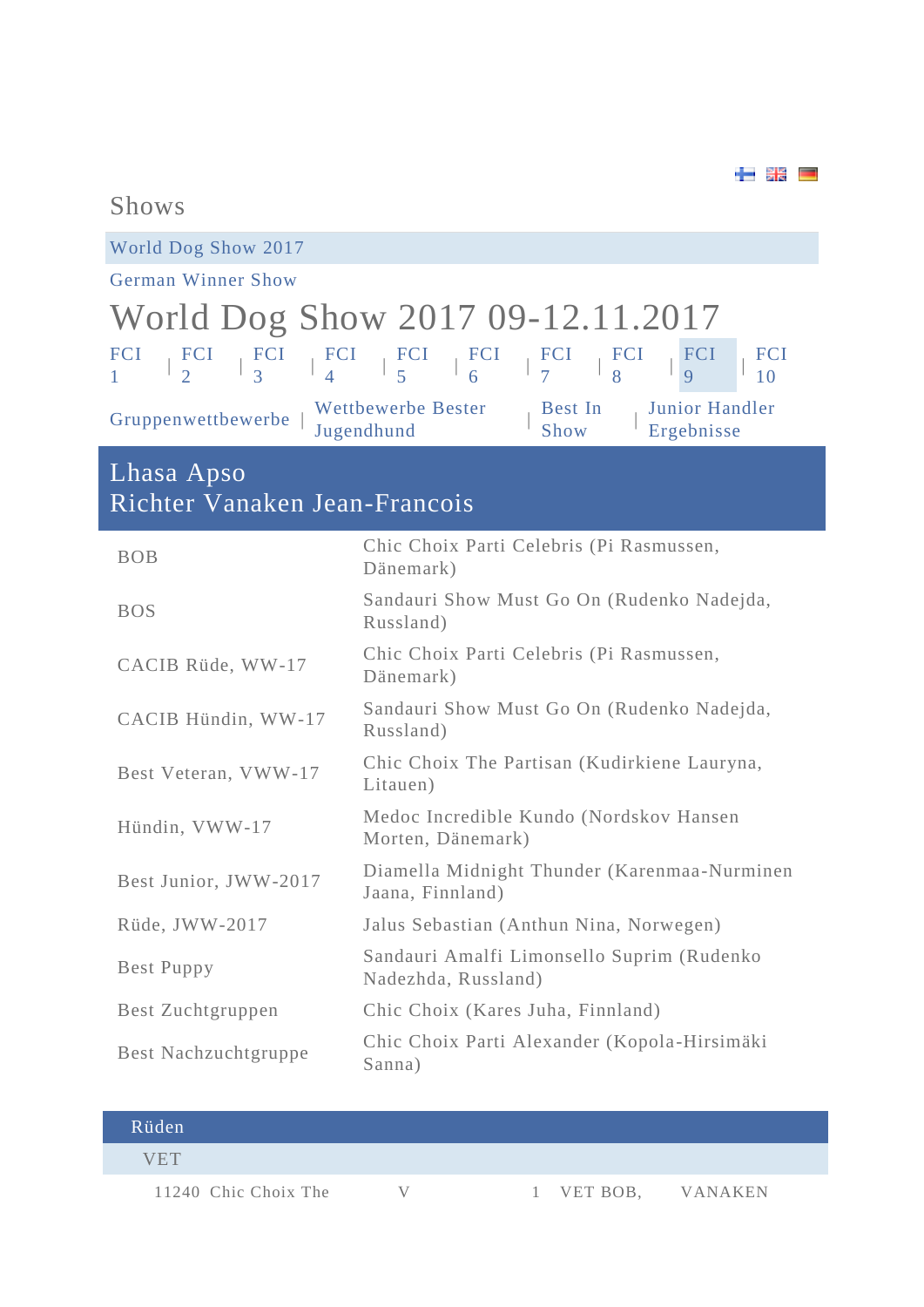## H 23 L

 $10^{-1}$  $10^{-1}$ 

## Shows

[World Dog Show 2017](https://showsystem.wds2017.de/results/frmTuloksetRyhma.aspx?N=2)

[German Winner Show](https://showsystem.wds2017.de/results/frmTuloksetRyhma.aspx?N=1)

## World Dog Show 2017 09-12.11.2017 [FCI](https://showsystem.wds2017.de/results/frmTuloksetRyhma.aspx?N=2&R=1)  [FCI](https://showsystem.wds2017.de/results/frmTuloksetRyhma.aspx?N=2&R=3)  [FCI](https://showsystem.wds2017.de/results/frmTuloksetRyhma.aspx?N=2&R=4)  [FCI](https://showsystem.wds2017.de/results/frmTuloksetRyhma.aspx?N=2&R=5)  [FCI](https://showsystem.wds2017.de/results/frmTuloksetRyhma.aspx?N=2&R=6)  [FCI](https://showsystem.wds2017.de/results/frmTuloksetRyhma.aspx?N=2&R=7)  [FCI](https://showsystem.wds2017.de/results/frmTuloksetRyhma.aspx?N=2&R=8)  [FCI](https://showsystem.wds2017.de/results/frmTuloksetRyhma.aspx?N=2&R=9)  **FCI**

[7](https://showsystem.wds2017.de/results/frmTuloksetRyhma.aspx?N=2&R=7)

|

[8](https://showsystem.wds2017.de/results/frmTuloksetRyhma.aspx?N=2&R=8)

|

[Best In](https://showsystem.wds2017.de/results/frmTuloksetRyhma.aspx?N=2&R=BIS) Junior Handler<br>[Show](https://showsystem.wds2017.de/results/frmTuloksetRyhma.aspx?N=2&R=BIS) Ergebnisse

[9](https://showsystem.wds2017.de/results/frmTuloksetRyhma.aspx?N=2&R=9)

[Ergebnisse](https://showsystem.wds2017.de/results/frmTuloksetRyhma.aspx?N=2&R=JH)

| FCI |                    | EC 1 |            |                    |  |
|-----|--------------------|------|------------|--------------------|--|
|     | Gruppenwettbewerbe |      | Jugendhund | Wettbewerbe Bester |  |

## Lhasa Apso Richter Vanaken Jean-Francois

| <b>BOB</b>            | Chic Choix Parti Celebris (Pi Rasmussen,<br>Dänemark)             |
|-----------------------|-------------------------------------------------------------------|
| <b>BOS</b>            | Sandauri Show Must Go On (Rudenko Nadejda,<br>Russland)           |
| CACIB Rüde, WW-17     | Chic Choix Parti Celebris (Pi Rasmussen,<br>Dänemark)             |
| CACIB Hündin, WW-17   | Sandauri Show Must Go On (Rudenko Nadejda,<br>Russland)           |
| Best Veteran, VWW-17  | Chic Choix The Partisan (Kudirkiene Lauryna,<br>Litauen)          |
| Hündin, VWW-17        | Medoc Incredible Kundo (Nordskov Hansen<br>Morten, Dänemark)      |
| Best Junior, JWW-2017 | Diamella Midnight Thunder (Karenmaa-Nurminen<br>Jaana, Finnland)  |
| Rüde, JWW-2017        | Jalus Sebastian (Anthun Nina, Norwegen)                           |
| <b>Best Puppy</b>     | Sandauri Amalfi Limonsello Suprim (Rudenko<br>Nadezhda, Russland) |
| Best Zuchtgruppen     | Chic Choix (Kares Juha, Finnland)                                 |
| Best Nachzuchtgruppe  | Chic Choix Parti Alexander (Kopola-Hirsimäki<br>Sanna)            |

| Rüden                |  |            |         |
|----------------------|--|------------|---------|
| <b>VET</b>           |  |            |         |
| 11240 Chic Choix The |  | 1 VET BOB, | VANAKEN |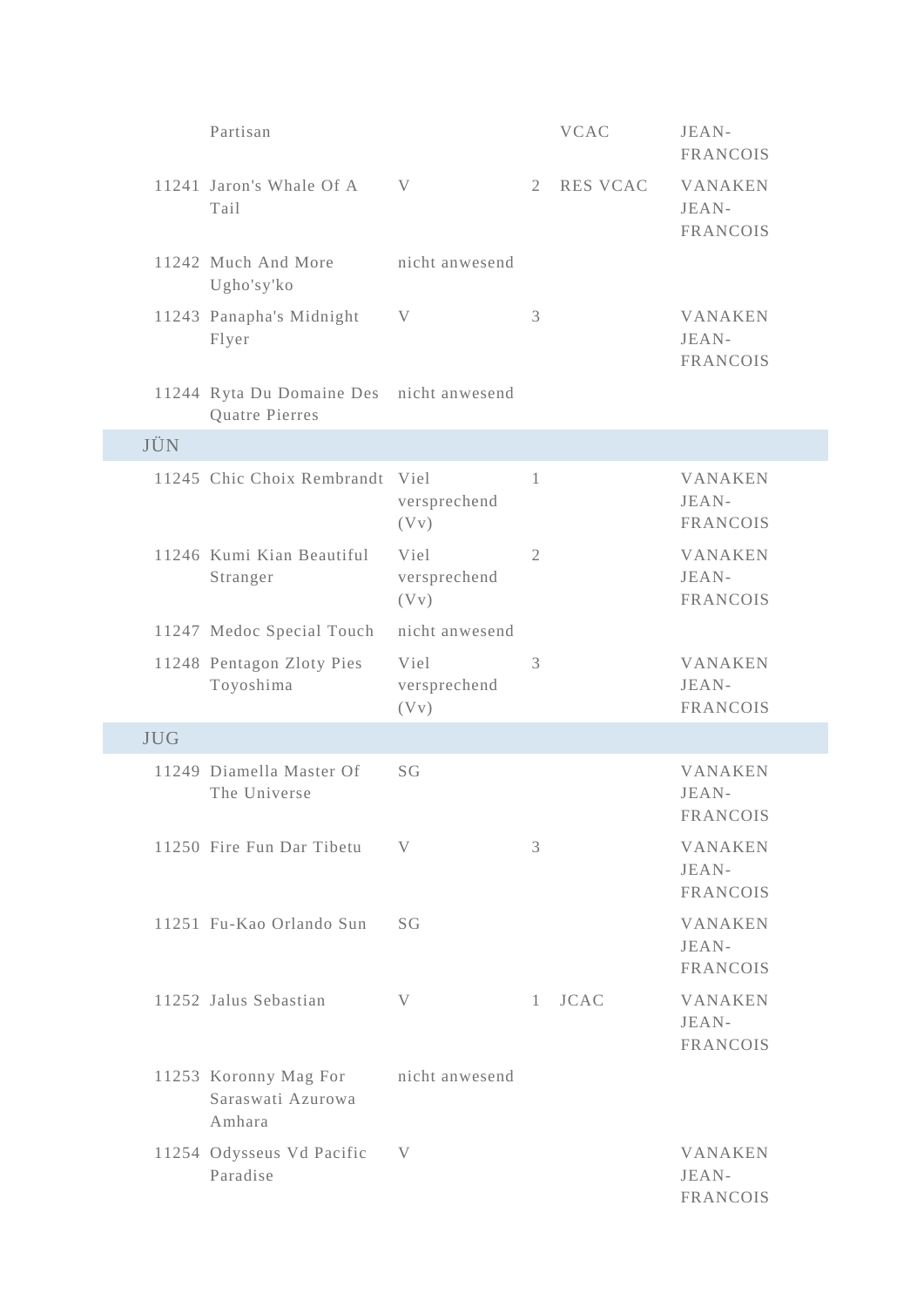|            | Partisan                                                   |                              |                | <b>VCAC</b>     | JEAN-<br><b>FRANCOIS</b>                   |
|------------|------------------------------------------------------------|------------------------------|----------------|-----------------|--------------------------------------------|
|            | 11241 Jaron's Whale Of A<br>Tail                           | $\boldsymbol{\nabla}$        | $\overline{2}$ | <b>RES VCAC</b> | <b>VANAKEN</b><br>JEAN-<br><b>FRANCOIS</b> |
|            | 11242 Much And More<br>Ugho'sy'ko                          | nicht anwesend               |                |                 |                                            |
|            | 11243 Panapha's Midnight<br>Flyer                          | $\mathbf{V}$                 | 3              |                 | <b>VANAKEN</b><br>JEAN-<br><b>FRANCOIS</b> |
|            | 11244 Ryta Du Domaine Des nicht anwesend<br>Quatre Pierres |                              |                |                 |                                            |
| JÜN        |                                                            |                              |                |                 |                                            |
|            | 11245 Chic Choix Rembrandt                                 | Viel<br>versprechend<br>(Vv) | 1              |                 | <b>VANAKEN</b><br>JEAN-<br><b>FRANCOIS</b> |
|            | 11246 Kumi Kian Beautiful<br>Stranger                      | Viel<br>versprechend<br>(Vv) | $\mathfrak{2}$ |                 | <b>VANAKEN</b><br>JEAN-<br><b>FRANCOIS</b> |
|            | 11247 Medoc Special Touch                                  | nicht anwesend               |                |                 |                                            |
|            | 11248 Pentagon Zloty Pies<br>Toyoshima                     | Viel<br>versprechend<br>(Vv) | 3              |                 | <b>VANAKEN</b><br>JEAN-<br><b>FRANCOIS</b> |
| <b>JUG</b> |                                                            |                              |                |                 |                                            |
|            | 11249 Diamella Master Of<br>The Universe                   | SG                           |                |                 | <b>VANAKEN</b><br>JEAN-<br><b>FRANCOIS</b> |
|            | 11250 Fire Fun Dar Tibetu                                  | $\mathbf{V}$                 | 3              |                 | <b>VANAKEN</b><br>JEAN-<br><b>FRANCOIS</b> |
|            | 11251 Fu-Kao Orlando Sun                                   | <b>SG</b>                    |                |                 | <b>VANAKEN</b><br>JEAN-<br><b>FRANCOIS</b> |
|            | 11252 Jalus Sebastian                                      | V                            | $\mathbf{1}$   | <b>JCAC</b>     | <b>VANAKEN</b><br>JEAN-<br><b>FRANCOIS</b> |
|            | 11253 Koronny Mag For<br>Saraswati Azurowa<br>Amhara       | nicht anwesend               |                |                 |                                            |
|            | 11254 Odysseus Vd Pacific<br>Paradise                      | V                            |                |                 | <b>VANAKEN</b><br>JEAN-<br><b>FRANCOIS</b> |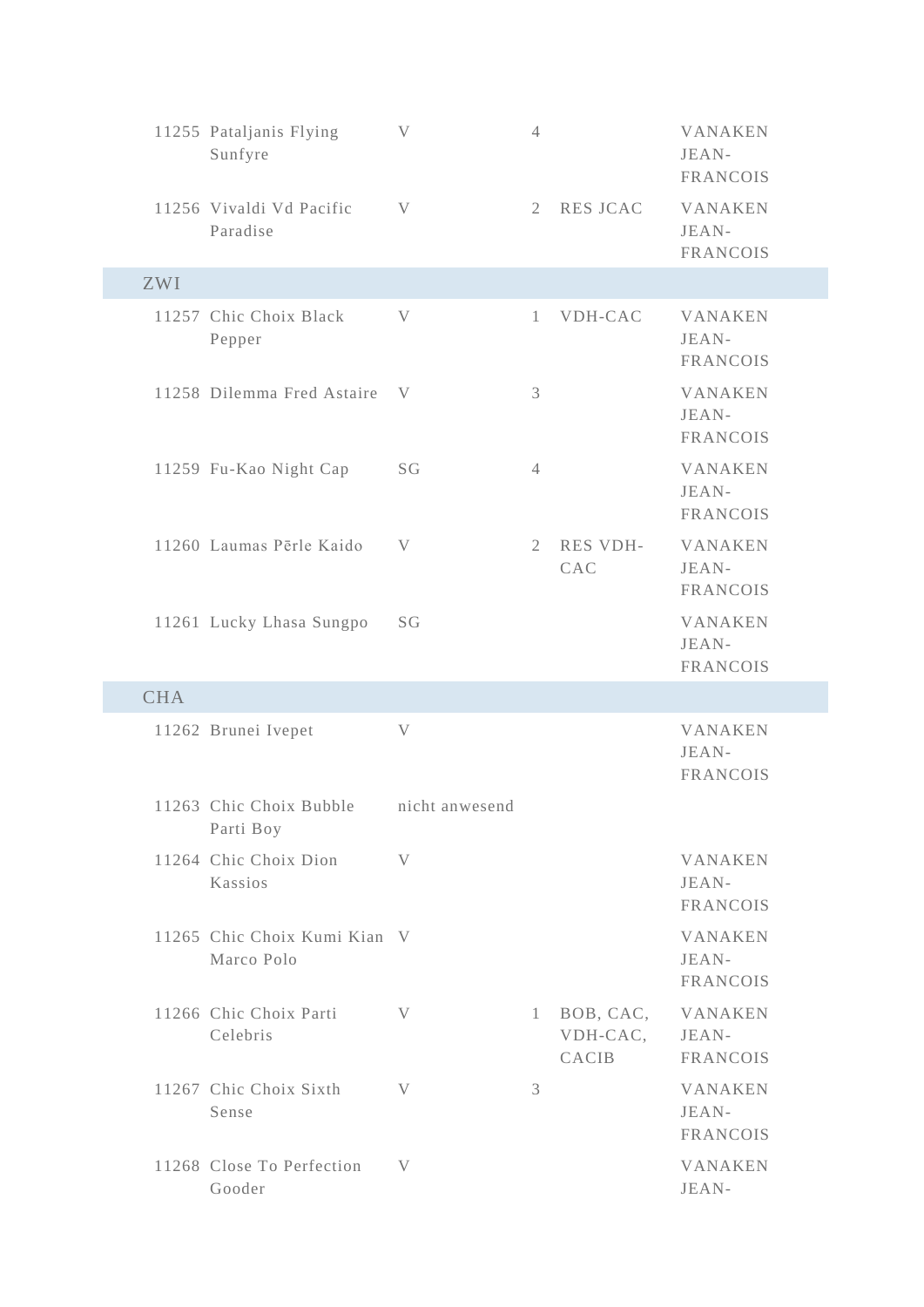|            | 11255 Pataljanis Flying<br>Sunfyre         | $\boldsymbol{\mathrm{V}}$ | $\overline{4}$ |                                | <b>VANAKEN</b><br>JEAN-<br><b>FRANCOIS</b> |
|------------|--------------------------------------------|---------------------------|----------------|--------------------------------|--------------------------------------------|
|            | 11256 Vivaldi Vd Pacific<br>Paradise       | $\mathbf V$               | 2              | <b>RES JCAC</b>                | <b>VANAKEN</b><br>JEAN-<br><b>FRANCOIS</b> |
| ZWI        |                                            |                           |                |                                |                                            |
|            | 11257 Chic Choix Black<br>Pepper           | V                         | $\mathbf{1}$   | VDH-CAC                        | <b>VANAKEN</b><br>JEAN-<br><b>FRANCOIS</b> |
|            | 11258 Dilemma Fred Astaire                 | V                         | $\mathfrak{Z}$ |                                | <b>VANAKEN</b><br>JEAN-<br><b>FRANCOIS</b> |
|            | 11259 Fu-Kao Night Cap                     | <b>SG</b>                 | $\overline{4}$ |                                | <b>VANAKEN</b><br>JEAN-<br><b>FRANCOIS</b> |
|            | 11260 Laumas Pērle Kaido                   | $\mathbf V$               | 2              | RES VDH-<br>CAC                | <b>VANAKEN</b><br>JEAN-<br><b>FRANCOIS</b> |
|            | 11261 Lucky Lhasa Sungpo                   | <b>SG</b>                 |                |                                | <b>VANAKEN</b><br>JEAN-                    |
|            |                                            |                           |                |                                | <b>FRANCOIS</b>                            |
| <b>CHA</b> |                                            |                           |                |                                |                                            |
|            | 11262 Brunei Ivepet                        | $\mathbf V$               |                |                                | <b>VANAKEN</b><br>JEAN-<br><b>FRANCOIS</b> |
|            | 11263 Chic Choix Bubble<br>Parti Boy       | nicht anwesend            |                |                                |                                            |
|            | 11264 Chic Choix Dion<br>Kassios           | V                         |                |                                | <b>VANAKEN</b><br>JEAN-<br><b>FRANCOIS</b> |
|            | 11265 Chic Choix Kumi Kian V<br>Marco Polo |                           |                |                                | <b>VANAKEN</b><br>JEAN-<br><b>FRANCOIS</b> |
|            | 11266 Chic Choix Parti<br>Celebris         | V                         | 1              | BOB, CAC,<br>VDH-CAC,<br>CACIB | <b>VANAKEN</b><br>JEAN-<br><b>FRANCOIS</b> |
|            | 11267 Chic Choix Sixth<br>Sense            | V                         | 3              |                                | <b>VANAKEN</b><br>JEAN-<br><b>FRANCOIS</b> |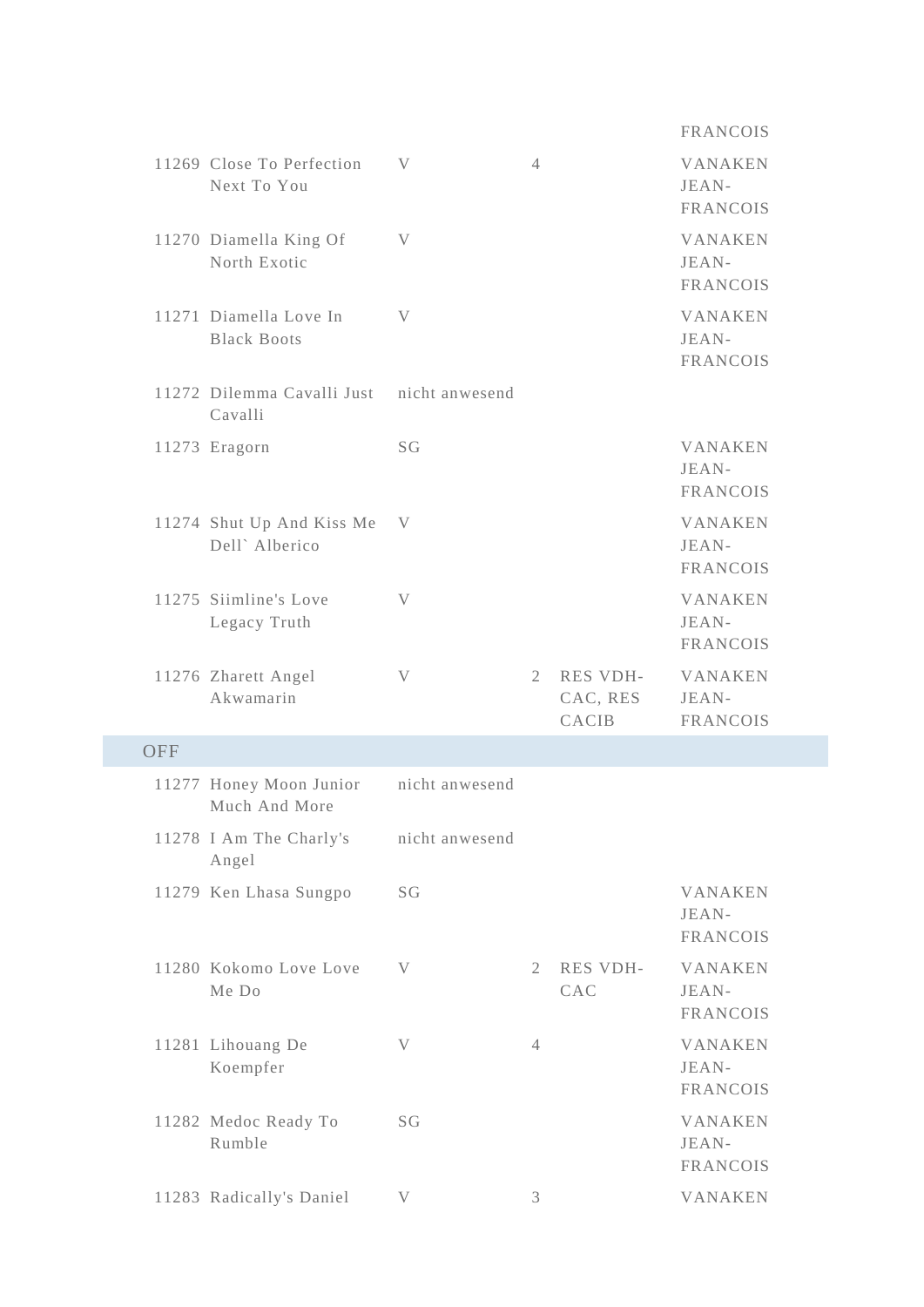|            |                                              |                |                |                                      | <b>FRANCOIS</b>                            |
|------------|----------------------------------------------|----------------|----------------|--------------------------------------|--------------------------------------------|
|            | 11269 Close To Perfection<br>Next To You     | V              | $\overline{4}$ |                                      | <b>VANAKEN</b><br>JEAN-<br><b>FRANCOIS</b> |
|            | 11270 Diamella King Of<br>North Exotic       | V              |                |                                      | <b>VANAKEN</b><br>JEAN-<br><b>FRANCOIS</b> |
|            | 11271 Diamella Love In<br><b>Black Boots</b> | $\mathbf{V}$   |                |                                      | <b>VANAKEN</b><br>JEAN-<br><b>FRANCOIS</b> |
|            | 11272 Dilemma Cavalli Just<br>Cavalli        | nicht anwesend |                |                                      |                                            |
|            | 11273 Eragorn                                | <b>SG</b>      |                |                                      | <b>VANAKEN</b><br>JEAN-<br><b>FRANCOIS</b> |
|            | 11274 Shut Up And Kiss Me<br>Dell' Alberico  | V              |                |                                      | <b>VANAKEN</b><br>JEAN-<br><b>FRANCOIS</b> |
|            | 11275 Siimline's Love<br>Legacy Truth        | V              |                |                                      | <b>VANAKEN</b><br>JEAN-<br><b>FRANCOIS</b> |
|            | 11276 Zharett Angel<br>Akwamarin             | $\mathbf{V}$   | 2              | RES VDH-<br>CAC, RES<br><b>CACIB</b> | <b>VANAKEN</b><br>JEAN-<br><b>FRANCOIS</b> |
| <b>OFF</b> |                                              |                |                |                                      |                                            |
|            | 11277 Honey Moon Junior<br>Much And More     | nicht anwesend |                |                                      |                                            |
|            | 11278 I Am The Charly's<br>Angel             | nicht anwesend |                |                                      |                                            |
|            | 11279 Ken Lhasa Sungpo                       | <b>SG</b>      |                |                                      | <b>VANAKEN</b><br>JEAN-<br><b>FRANCOIS</b> |
|            | 11280 Kokomo Love Love<br>Me Do              | $\mathbf{V}$   | 2              | RES VDH-<br>CAC                      | <b>VANAKEN</b><br>JEAN-<br><b>FRANCOIS</b> |
|            | 11281 Lihouang De<br>Koempfer                | $\mathbf{V}$   | 4              |                                      | <b>VANAKEN</b><br>JEAN-<br><b>FRANCOIS</b> |
|            | 11282 Medoc Ready To<br>Rumble               | SG             |                |                                      | <b>VANAKEN</b><br>JEAN-<br><b>FRANCOIS</b> |
|            | 11283 Radically's Daniel                     | V              | 3              |                                      | <b>VANAKEN</b>                             |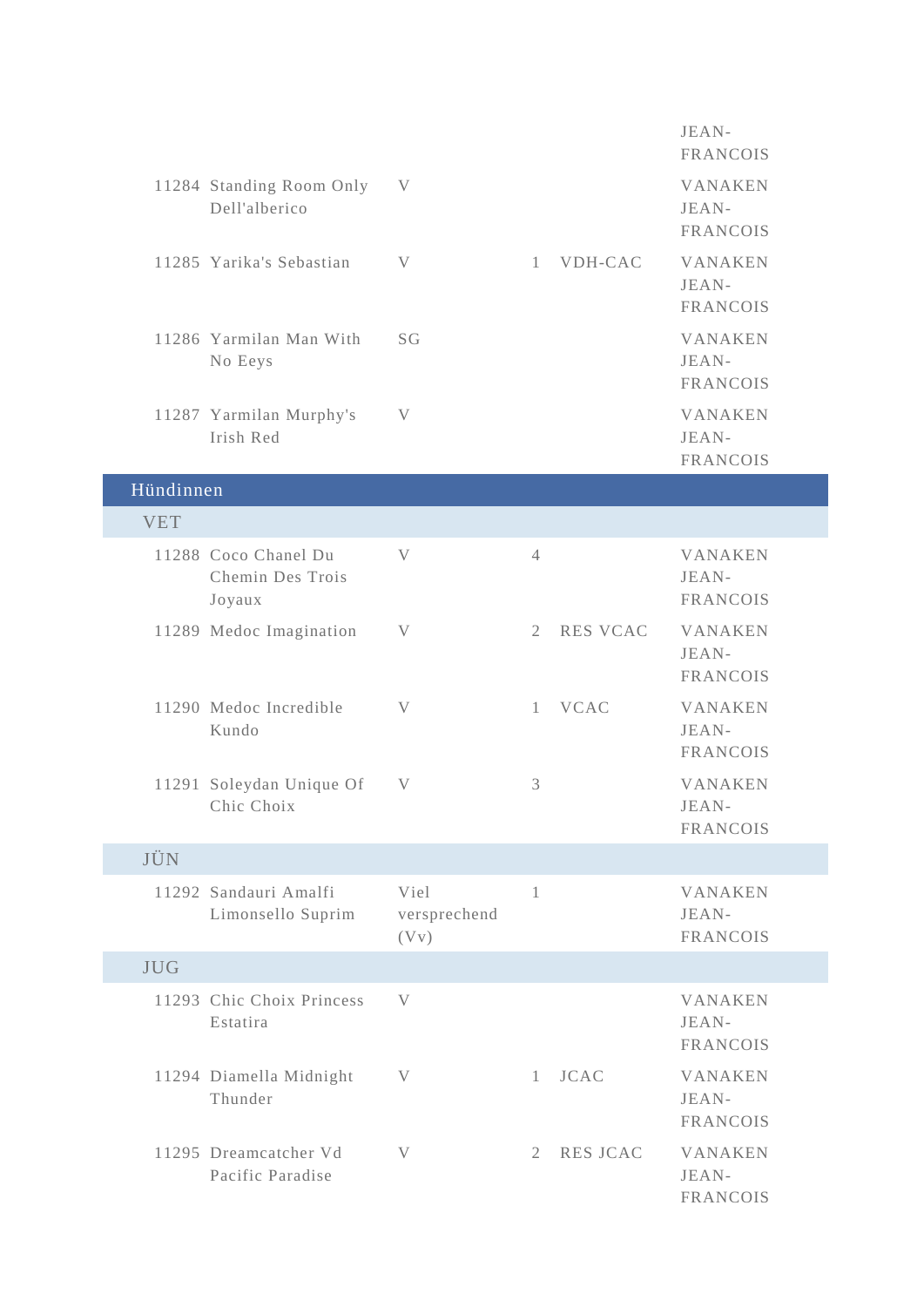|            |                                                    |                              |                |                 | JEAN-                                      |  |
|------------|----------------------------------------------------|------------------------------|----------------|-----------------|--------------------------------------------|--|
|            |                                                    |                              |                |                 | <b>FRANCOIS</b>                            |  |
|            | 11284 Standing Room Only<br>Dell'alberico          | V                            |                |                 | <b>VANAKEN</b><br>JEAN-<br><b>FRANCOIS</b> |  |
|            | 11285 Yarika's Sebastian                           | $\mathbf V$                  | 1              | VDH-CAC         | <b>VANAKEN</b><br>JEAN-<br><b>FRANCOIS</b> |  |
|            | 11286 Yarmilan Man With<br>No Eeys                 | SG                           |                |                 | <b>VANAKEN</b><br>JEAN-<br><b>FRANCOIS</b> |  |
|            | 11287 Yarmilan Murphy's<br>Irish Red               | V                            |                |                 | <b>VANAKEN</b><br>JEAN-<br><b>FRANCOIS</b> |  |
| Hündinnen  |                                                    |                              |                |                 |                                            |  |
| <b>VET</b> |                                                    |                              |                |                 |                                            |  |
|            | 11288 Coco Chanel Du<br>Chemin Des Trois<br>Joyaux | $\mathbf{V}$                 | $\overline{4}$ |                 | <b>VANAKEN</b><br>JEAN-<br><b>FRANCOIS</b> |  |
|            | 11289 Medoc Imagination                            | $\boldsymbol{\nabla}$        | $\overline{2}$ | <b>RES VCAC</b> | <b>VANAKEN</b><br>JEAN-<br><b>FRANCOIS</b> |  |
|            | 11290 Medoc Incredible<br>Kundo                    | $\mathbf{V}$                 | $\mathbf{1}$   | <b>VCAC</b>     | <b>VANAKEN</b><br>JEAN-<br><b>FRANCOIS</b> |  |
|            | 11291 Soleydan Unique Of<br>Chic Choix             | $\mathbf V$                  | 3              |                 | <b>VANAKEN</b><br>JEAN-<br><b>FRANCOIS</b> |  |
| JÜN        |                                                    |                              |                |                 |                                            |  |
|            | 11292 Sandauri Amalfi<br>Limonsello Suprim         | Viel<br>versprechend<br>(Vv) | 1              |                 | <b>VANAKEN</b><br>JEAN-<br><b>FRANCOIS</b> |  |
| <b>JUG</b> |                                                    |                              |                |                 |                                            |  |
|            | 11293 Chic Choix Princess<br>Estatira              | $\mathbf{V}$                 |                |                 | <b>VANAKEN</b><br>JEAN-<br><b>FRANCOIS</b> |  |
|            | 11294 Diamella Midnight<br>Thunder                 | V                            | $\mathbf{1}$   | <b>JCAC</b>     | <b>VANAKEN</b><br>JEAN-<br><b>FRANCOIS</b> |  |
|            | 11295 Dreamcatcher Vd<br>Pacific Paradise          | V                            | $\mathfrak{2}$ | <b>RES JCAC</b> | <b>VANAKEN</b><br>JEAN-<br><b>FRANCOIS</b> |  |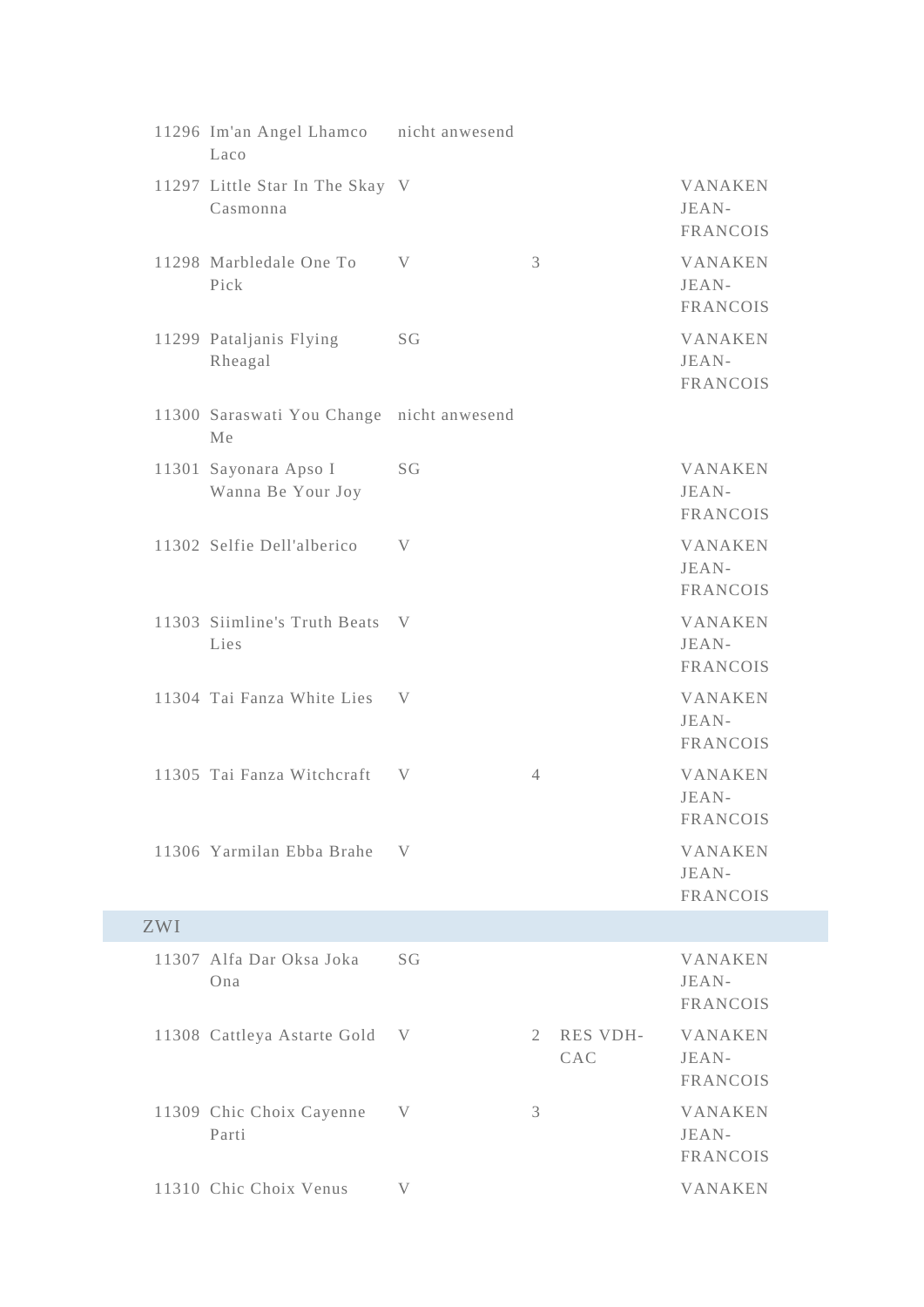|     | 11296 Im'an Angel Lhamco<br>Laco                | nicht anwesend |                |                        |                                            |
|-----|-------------------------------------------------|----------------|----------------|------------------------|--------------------------------------------|
|     | 11297 Little Star In The Skay V<br>Casmonna     |                |                |                        | <b>VANAKEN</b><br>JEAN-<br><b>FRANCOIS</b> |
|     | 11298 Marbledale One To<br>Pick                 | V              | $\mathfrak{Z}$ |                        | <b>VANAKEN</b><br>JEAN-<br><b>FRANCOIS</b> |
|     | 11299 Pataljanis Flying<br>Rheagal              | <b>SG</b>      |                |                        | <b>VANAKEN</b><br>JEAN-<br><b>FRANCOIS</b> |
|     | 11300 Saraswati You Change nicht anwesend<br>Me |                |                |                        |                                            |
|     | 11301 Sayonara Apso I<br>Wanna Be Your Joy      | <b>SG</b>      |                |                        | <b>VANAKEN</b><br>JEAN-<br><b>FRANCOIS</b> |
|     | 11302 Selfie Dell'alberico                      | V              |                |                        | <b>VANAKEN</b><br>JEAN-<br><b>FRANCOIS</b> |
|     | 11303 Siimline's Truth Beats<br>Lies            | V              |                |                        | <b>VANAKEN</b><br>JEAN-<br><b>FRANCOIS</b> |
|     | 11304 Tai Fanza White Lies                      | V              |                |                        | <b>VANAKEN</b><br>JEAN-<br><b>FRANCOIS</b> |
|     | 11305 Tai Fanza Witchcraft                      | V              | $\overline{4}$ |                        | <b>VANAKEN</b><br>JEAN-<br><b>FRANCOIS</b> |
|     | 11306 Yarmilan Ebba Brahe                       | V              |                |                        | <b>VANAKEN</b><br>JEAN-<br><b>FRANCOIS</b> |
| ZWI |                                                 |                |                |                        |                                            |
|     | 11307 Alfa Dar Oksa Joka<br>Ona                 | SG             |                |                        | <b>VANAKEN</b><br>JEAN-<br><b>FRANCOIS</b> |
|     | 11308 Cattleya Astarte Gold                     | V              | $\overline{2}$ | <b>RES VDH-</b><br>CAC | <b>VANAKEN</b><br>JEAN-<br><b>FRANCOIS</b> |
|     | 11309 Chic Choix Cayenne<br>Parti               | V              | 3              |                        | <b>VANAKEN</b><br>JEAN-<br><b>FRANCOIS</b> |
|     | 11310 Chic Choix Venus                          | V              |                |                        | <b>VANAKEN</b>                             |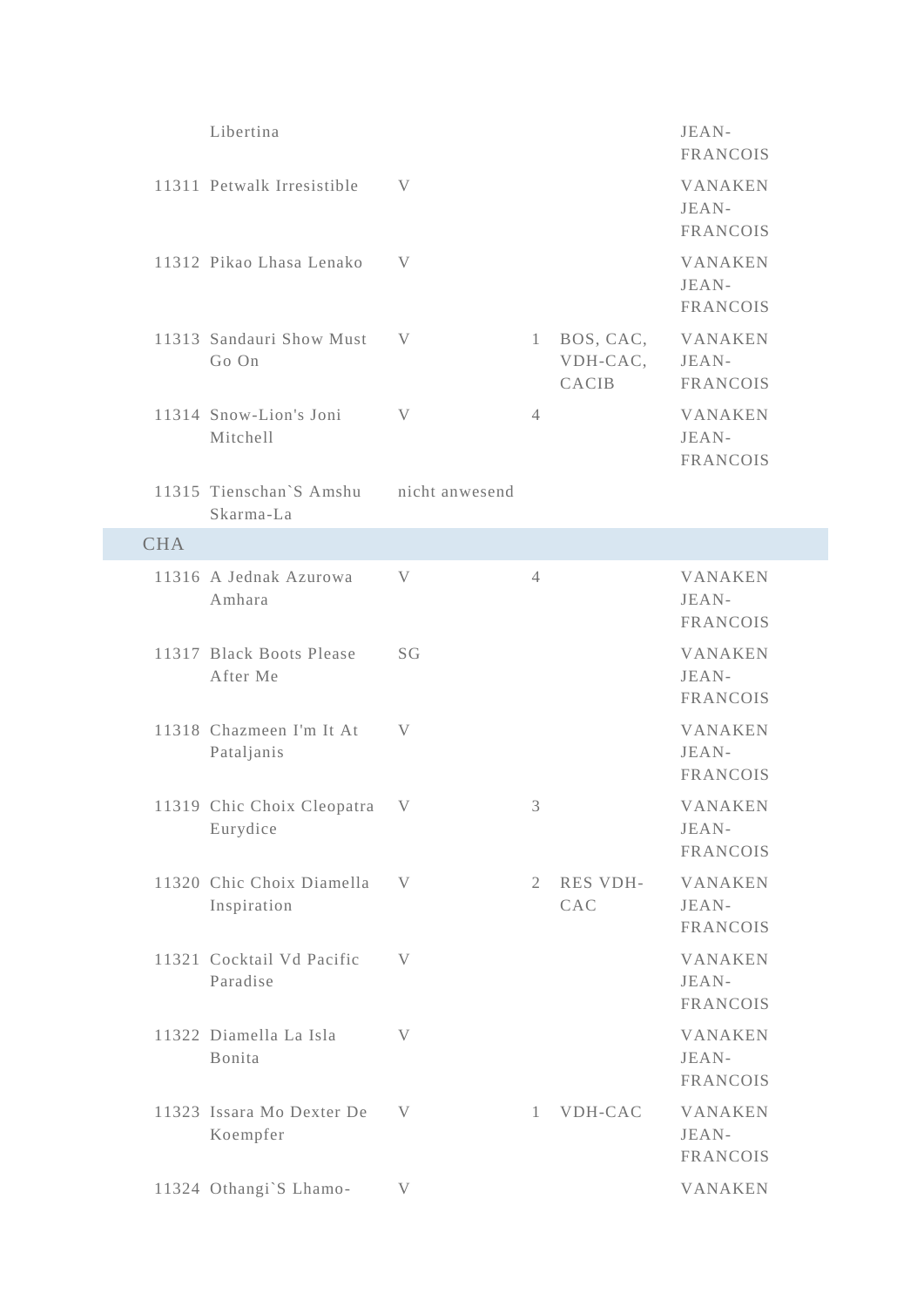|            | Libertina                                |                |                |                                | JEAN-<br><b>FRANCOIS</b>                   |
|------------|------------------------------------------|----------------|----------------|--------------------------------|--------------------------------------------|
|            | 11311 Petwalk Irresistible               | V              |                |                                | <b>VANAKEN</b><br>JEAN-<br><b>FRANCOIS</b> |
|            | 11312 Pikao Lhasa Lenako                 | V              |                |                                | <b>VANAKEN</b><br>JEAN-<br><b>FRANCOIS</b> |
|            | 11313 Sandauri Show Must<br>Go On        | V              | $\mathbf{1}$   | BOS, CAC,<br>VDH-CAC,<br>CACIB | <b>VANAKEN</b><br>JEAN-<br><b>FRANCOIS</b> |
|            | 11314 Snow-Lion's Joni<br>Mitchell       | V              | $\overline{4}$ |                                | <b>VANAKEN</b><br>JEAN-<br><b>FRANCOIS</b> |
|            | 11315 Tienschan'S Amshu<br>Skarma-La     | nicht anwesend |                |                                |                                            |
| <b>CHA</b> |                                          |                |                |                                |                                            |
|            | 11316 A Jednak Azurowa<br>Amhara         | $\mathbf{V}$   | $\overline{4}$ |                                | <b>VANAKEN</b><br>JEAN-<br><b>FRANCOIS</b> |
|            | 11317 Black Boots Please<br>After Me     | <b>SG</b>      |                |                                | <b>VANAKEN</b><br>JEAN-<br><b>FRANCOIS</b> |
|            | 11318 Chazmeen I'm It At<br>Pataljanis   | V              |                |                                | <b>VANAKEN</b><br>JEAN-<br><b>FRANCOIS</b> |
|            | 11319 Chic Choix Cleopatra V<br>Eurydice |                | 3              |                                | <b>VANAKEN</b><br>JEAN-<br><b>FRANCOIS</b> |
|            | 11320 Chic Choix Diamella<br>Inspiration | $\mathbf V$    | 2              | RES VDH-<br>CAC                | <b>VANAKEN</b><br>JEAN-<br><b>FRANCOIS</b> |
|            | 11321 Cocktail Vd Pacific<br>Paradise    | V              |                |                                | <b>VANAKEN</b><br>JEAN-<br><b>FRANCOIS</b> |
|            | 11322 Diamella La Isla<br>Bonita         | V              |                |                                | <b>VANAKEN</b><br>JEAN-<br><b>FRANCOIS</b> |
|            | 11323 Issara Mo Dexter De<br>Koempfer    | V              | $\mathbf{1}$   | VDH-CAC                        | <b>VANAKEN</b><br>JEAN-<br><b>FRANCOIS</b> |
|            | 11324 Othangi'S Lhamo-                   | $\mathbf V$    |                |                                | <b>VANAKEN</b>                             |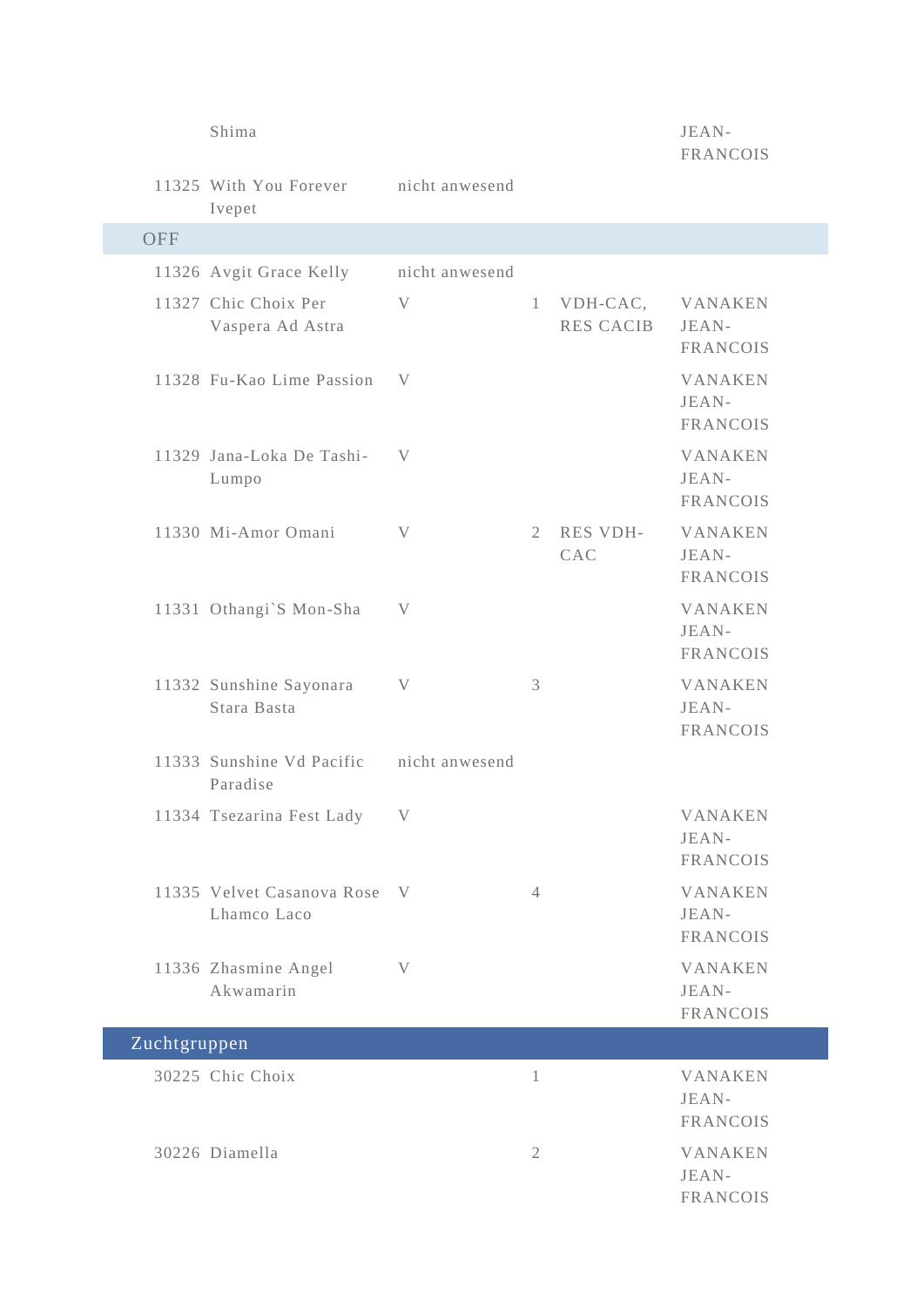|              |                                           |                |                |                              | <b>FRANCOIS</b>                            |
|--------------|-------------------------------------------|----------------|----------------|------------------------------|--------------------------------------------|
|              | 11325 With You Forever<br>Ivepet          | nicht anwesend |                |                              |                                            |
| <b>OFF</b>   |                                           |                |                |                              |                                            |
|              | 11326 Avgit Grace Kelly                   | nicht anwesend |                |                              |                                            |
|              | 11327 Chic Choix Per<br>Vaspera Ad Astra  | V              | $\mathbf{1}$   | VDH-CAC,<br><b>RES CACIB</b> | <b>VANAKEN</b><br>JEAN-<br><b>FRANCOIS</b> |
|              | 11328 Fu-Kao Lime Passion                 | V              |                |                              | <b>VANAKEN</b><br>JEAN-<br><b>FRANCOIS</b> |
|              | 11329 Jana-Loka De Tashi-<br>Lumpo        | V              |                |                              | <b>VANAKEN</b><br>JEAN-<br><b>FRANCOIS</b> |
|              | 11330 Mi-Amor Omani                       | V              | 2              | <b>RES VDH-</b><br>CAC       | <b>VANAKEN</b><br>JEAN-<br><b>FRANCOIS</b> |
|              | 11331 Othangi'S Mon-Sha                   | V              |                |                              | <b>VANAKEN</b><br>JEAN-<br><b>FRANCOIS</b> |
|              | 11332 Sunshine Sayonara<br>Stara Basta    | V              | 3              |                              | <b>VANAKEN</b><br>JEAN-<br><b>FRANCOIS</b> |
|              | 11333 Sunshine Vd Pacific<br>Paradise     | nicht anwesend |                |                              |                                            |
|              | 11334 Tsezarina Fest Lady                 | V              |                |                              | <b>VANAKEN</b><br>JEAN-<br><b>FRANCOIS</b> |
|              | 11335 Velvet Casanova Rose<br>Lhamco Laco | V              | $\overline{4}$ |                              | <b>VANAKEN</b><br>JEAN-<br><b>FRANCOIS</b> |
|              | 11336 Zhasmine Angel<br>Akwamarin         | V              |                |                              | <b>VANAKEN</b><br>JEAN-<br><b>FRANCOIS</b> |
| Zuchtgruppen |                                           |                |                |                              |                                            |
|              | 30225 Chic Choix                          |                | $\mathbf{1}$   |                              | <b>VANAKEN</b><br>JEAN-<br><b>FRANCOIS</b> |
|              | 30226 Diamella                            |                | $\mathfrak{2}$ |                              | <b>VANAKEN</b><br>JEAN-<br><b>FRANCOIS</b> |

Shima JEAN-